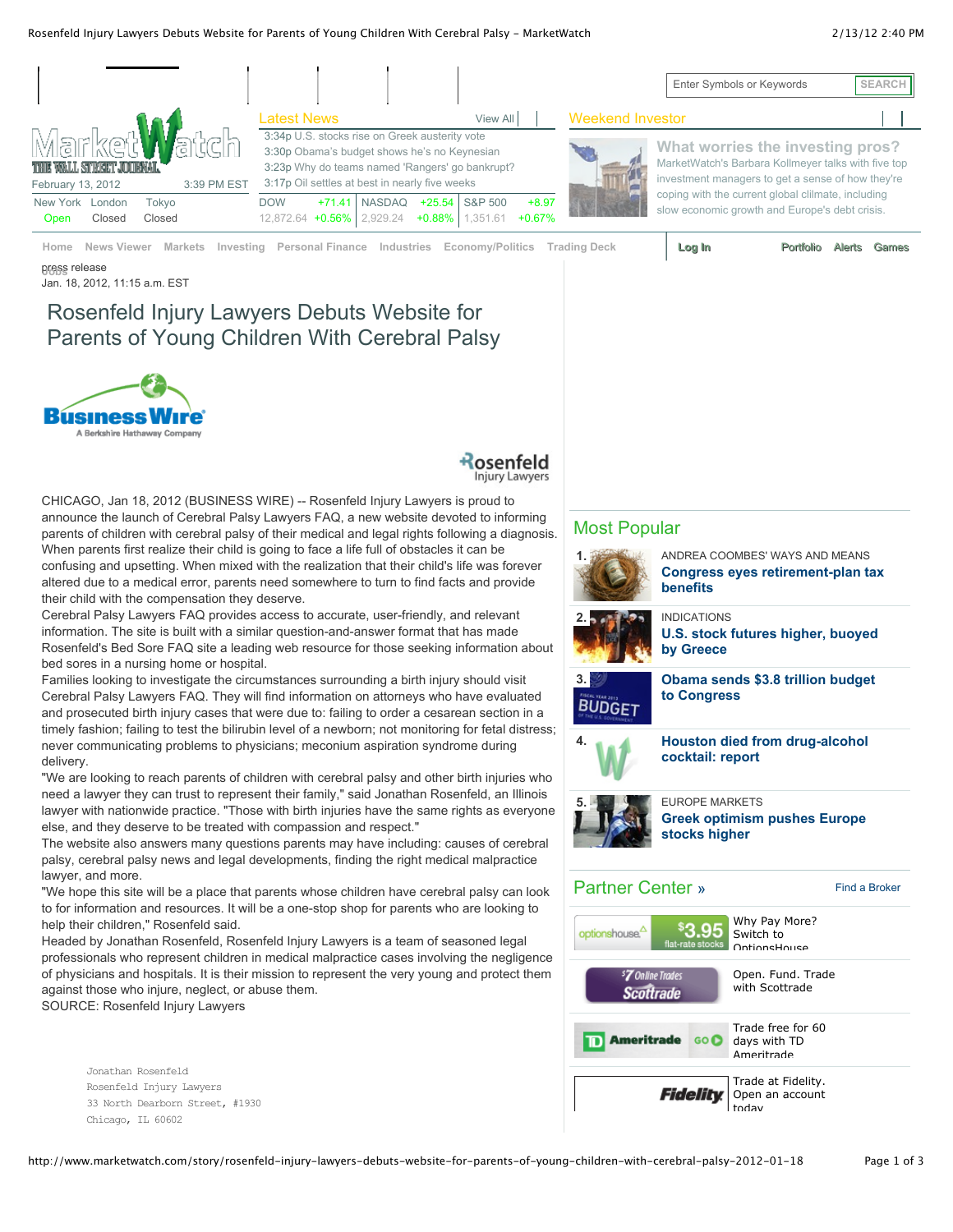## Rosenfeld Injury Lawyers Debuts Website for Parents of Young Children With Cerebral Palsy - MarketWatch 2/13/12 2:40 PM

|                                                                              |                                                                                                                                                                                                     |                                                                     |               |          |                  |                     |                                                                                                                                              | Enter Symbols or Keywords                                                                            | <b>SEARCH</b> |
|------------------------------------------------------------------------------|-----------------------------------------------------------------------------------------------------------------------------------------------------------------------------------------------------|---------------------------------------------------------------------|---------------|----------|------------------|---------------------|----------------------------------------------------------------------------------------------------------------------------------------------|------------------------------------------------------------------------------------------------------|---------------|
|                                                                              |                                                                                                                                                                                                     | <b>Latest News</b>                                                  |               |          | View All         |                     | <b>Weekend Investor</b>                                                                                                                      |                                                                                                      |               |
| Market Vatch<br>THIE WALL STREET JOURNAL<br>3:39 PM EST<br>February 13, 2012 | 3:34p U.S. stocks rise on Greek austerity vote<br>3:30p Obama's budget shows he's no Keynesian<br>3:23p Why do teams named 'Rangers' go bankrupt?<br>3:17p Oil settles at best in nearly five weeks |                                                                     |               |          |                  |                     | What worries the investing pros?<br>MarketWatch's Barbara Kollmeyer talks with five top<br>investment managers to get a sense of how they're |                                                                                                      |               |
| New York<br>Tokvo<br>London<br>Closed<br>Closed<br><b>Open</b>               |                                                                                                                                                                                                     | <b>DOW</b><br>$+71.41$<br>12,872.64 +0.56% 2,929.24 +0.88% 1,351.61 | <b>NASDAQ</b> | $+25.54$ | S&P 500          | $+8.97$<br>$+0.67%$ |                                                                                                                                              | coping with the current global clilmate, including<br>slow economic growth and Europe's debt crisis. |               |
| Home<br>News Viewer<br><b>Markets</b>                                        | Investing                                                                                                                                                                                           | Personal Finance Industries                                         |               |          | Economy/Politics |                     | Trading Deck                                                                                                                                 | Log In<br>Portfolio                                                                                  | Games         |

press release **Jobs** Jan. 18, 2012, 11:15 a.m. EST

### Rosenfeld Injury Lawyers Debuts Website for Parents of Young Children With Cerebral Palsy  $\overline{C}$  اب 2:23p  $D$ abuta  $M$ abaita far **EU DU BUY MOTOR** TO BUY MOTOR n With Cerebral Palsy Gold edges down on lingering euro-zone worries





CHICAGO, Jan 18, 2012 (BUSINESS WIRE) -- Rosenfeld Injury Lawyers is proud to announce the launch of Cerebral Palsy Lawyers FAQ, a new website devoted to informing parents of children with cerebral palsy of their medical and legal rights following a diagnosis. When parents first realize their child is going to face a life full of obstacles it can be confusing and upsetting. When mixed with the realization that their child's life was forever altered due to a medical error, parents need somewhere to turn to find facts and provide their child with the compensation they deserve.

Cerebral Palsy Lawyers FAQ provides access to accurate, user-friendly, and relevant information. The site is built with a similar question-and-answer format that has made Rosenfeld's Bed Sore FAQ site a leading web resource for those seeking information about bed sores in a nursing home or hospital.

Families looking to investigate the circumstances surrounding a birth injury should visit Cerebral Palsy Lawyers FAQ. They will find information on attorneys who have evaluated and prosecuted birth injury cases that were due to: failing to order a cesarean section in a timely fashion; failing to test the bilirubin level of a newborn; not monitoring for fetal distress; never communicating problems to physicians; meconium aspiration syndrome during delivery.

"We are looking to reach parents of children with cerebral palsy and other birth injuries who need a lawyer they can trust to represent their family," said Jonathan Rosenfeld, an Illinois lawyer with nationwide practice. "Those with birth injuries have the same rights as everyone else, and they deserve to be treated with compassion and respect."

The website also answers many questions parents may have including: causes of cerebral palsy, cerebral palsy news and legal developments, finding the right medical malpractice lawyer, and more.

"We hope this site will be a place that parents whose children have cerebral palsy can look to for information and resources. It will be a one-stop shop for parents who are looking to help their children," Rosenfeld said.

Headed by Jonathan Rosenfeld, Rosenfeld Injury Lawyers is a team of seasoned legal professionals who represent children in medical malpractice cases involving the negligence of physicians and hospitals. It is their mission to represent the very young and protect them against those who injure, neglect, or abuse them. SOURCE: Rosenfeld Injury Lawyers

 Jonathan Rosenfeld Rosenfeld Injury Lawyers 33 North Dearborn Street, #1930 Chicago, IL 60602

## Most Popular

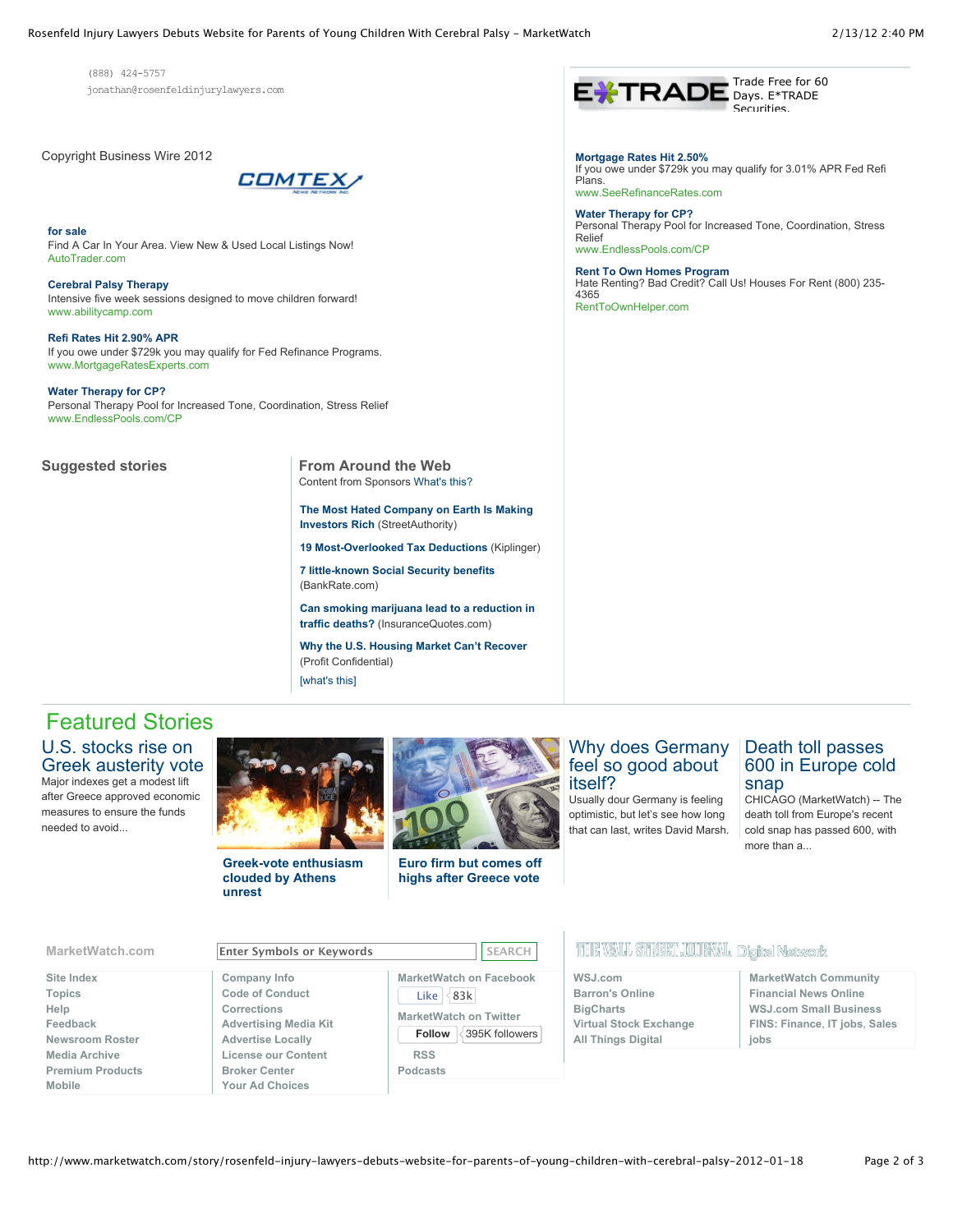Trade Free for 60 Days. E\*TRADE Securities.

If you owe under \$729k you may qualify for 3.01% APR Fed Refi

Personal Therapy Pool for Increased Tone, Coordination, Stress

Hate Renting? Bad Credit? Call Us! Houses For Rent (800) 235-

 (888) 424-5757 jonathan@rosenfeldinjurylawyers.com

Copyright Business Wire 2012



**for sale** Find A Car In Your Area. View New & Used Local Listings Now! AutoTrader.com

**Cerebral Palsy Therapy** Intensive five week sessions designed to move children forward! www.abilitycamp.com

**Refi Rates Hit 2.90% APR** If you owe under \$729k you may qualify for Fed Refinance Programs. www.MortgageRatesExperts.com

**Water Therapy for CP?** Personal Therapy Pool for Increased Tone, Coordination, Stress Relief www.EndlessPools.com/CP

**Suggested stories From Around the Web** Content from Sponsors What's this?

> **The Most Hated Company on Earth Is Making Investors Rich (StreetAuthority)**

**19 Most-Overlooked Tax Deductions** (Kiplinger)

**7 little-known Social Security benefits** (BankRate.com)

**Can smoking marijuana lead to a reduction in traffic deaths?** (InsuranceQuotes.com)

[what's this] **Why the U.S. Housing Market Can't Recover** (Profit Confidential)

# Featured Stories

U.S. stocks rise on Greek austerity vote Major indexes get a modest lift after Greece approved economic measures to ensure the funds needed to avoid...

**Greek-vote enthusiasm clouded by Athens unrest**



**Euro firm but comes off highs after Greece vote**

## Why does Germany feel so good about itself?

**Mortgage Rates Hit 2.50%**

www.SeeRefinanceRates.com **Water Therapy for CP?**

www.EndlessPools.com/CP **Rent To Own Homes Program**

RentToOwnHelper.com

Plans.

Relief

4365

Usually dour Germany is feeling optimistic, but let's see how long that can last, writes David Marsh.

## Death toll passes 600 in Europe cold snap

CHICAGO (MarketWatch) -- The death toll from Europe's recent cold snap has passed 600, with more than a...

## **MarketWatch.com Enter Symbols or Keywords SEARCH**

- **Site Index Topics Help Feedback Newsroom Roster Media Archive Premium Products Mobile**
- **Company Info Code of Conduct Corrections Advertising Media Kit Advertise Locally License our Content Broker Center Your Ad Choices**

**MarketWatch on Facebook** Like  $|$  83k **MarketWatch on Twitter Follow** 395K followers

**RSS Podcasts**

## 1198 WALL STREET JOURNAL. Digital Network

| WSJ.com                       | <b>MarketWatch Community</b>  |
|-------------------------------|-------------------------------|
| <b>Barron's Online</b>        | <b>Financial News Online</b>  |
| <b>BigCharts</b>              | <b>WSJ.com Small Business</b> |
| <b>Virtual Stock Exchange</b> | FINS: Finance, IT jobs, Sales |
| <b>All Things Digital</b>     | iobs                          |